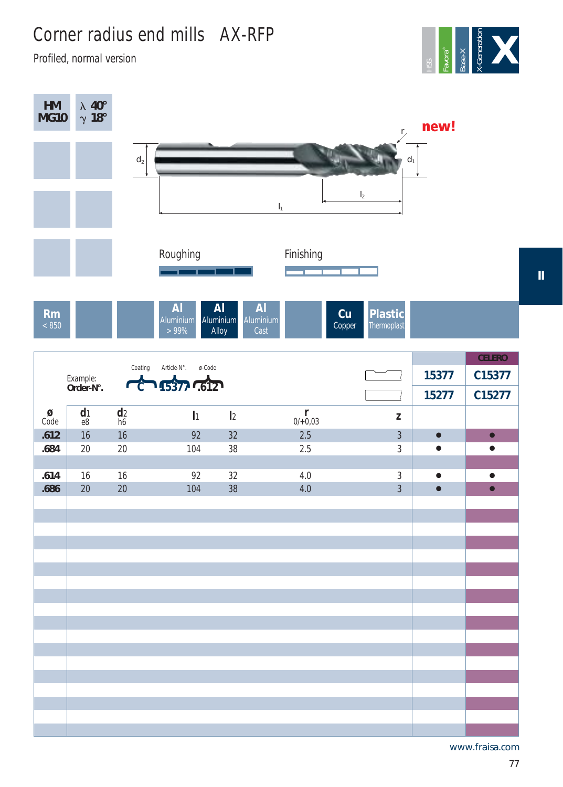## Corner radius end mills AX-RFP

Profiled, normal version



| HM<br><b>MG10</b>                    | $\frac{\lambda}{\gamma} \frac{40^{\circ}}{18^{\circ}}$ |                |                                |                                 |                                                | $r_{\chi}$                    | new!      |               |
|--------------------------------------|--------------------------------------------------------|----------------|--------------------------------|---------------------------------|------------------------------------------------|-------------------------------|-----------|---------------|
|                                      |                                                        | $\mathsf{d}_2$ |                                |                                 |                                                | $d_1$                         |           |               |
|                                      |                                                        |                |                                |                                 | $I_1$                                          | $\mathsf{I}_2$                |           |               |
|                                      |                                                        |                | Roughing                       |                                 | Finishing                                      |                               |           |               |
| <b>Rm</b><br>< 850                   |                                                        |                | <b>AI</b><br>Aluminium<br>>99% | <b>AI</b><br>Aluminium<br>Alloy | <b>AI</b><br>Cu<br>Aluminium<br>Copper<br>Cast | <b>Plastic</b><br>Thermoplast |           |               |
|                                      |                                                        |                |                                |                                 |                                                |                               |           | <b>CELERO</b> |
|                                      | Example:<br>Order-N°.                                  | Coating        | Article-N°.<br>ø-Code          |                                 |                                                |                               | 15377     | C15377        |
|                                      |                                                        | $\mathbf c$    | 15377 .612                     |                                 |                                                |                               | 15277     | C15277        |
| $\underset{\text{Code}}{\mathbf{Q}}$ | d <sub>1</sub><br>e8                                   | $\frac{d}{h}$  | $\mathbf{I}$                   | $\mathsf{I}2$                   | $\int_{0/0}^{r}$                               | $\mathsf Z$                   |           |               |
| .612                                 | 16                                                     | 16             | 92                             | 32                              | 2.5                                            | $\overline{3}$                | $\bullet$ | $\bullet$     |
| .684                                 | 20                                                     | 20             | 104                            | 38                              | 2.5                                            | $\sqrt{3}$                    | $\bullet$ | $\bullet$     |
| .614                                 | 16                                                     | 16             | 92                             | 32                              | $4.0\,$                                        | $\sqrt{3}$                    | $\bullet$ | $\bullet$     |
| .686                                 | 20                                                     | 20             | 104                            | 38                              | 4.0                                            | $\overline{3}$                | $\bullet$ | $\bullet$     |
|                                      |                                                        |                |                                |                                 |                                                |                               |           |               |
|                                      |                                                        |                |                                |                                 |                                                |                               |           |               |
|                                      |                                                        |                |                                |                                 |                                                |                               |           |               |
|                                      |                                                        |                |                                |                                 |                                                |                               |           |               |
|                                      |                                                        |                |                                |                                 |                                                |                               |           |               |
|                                      |                                                        |                |                                |                                 |                                                |                               |           |               |
|                                      |                                                        |                |                                |                                 |                                                |                               |           |               |
|                                      |                                                        |                |                                |                                 |                                                |                               |           |               |
|                                      |                                                        |                |                                |                                 |                                                |                               |           |               |
|                                      |                                                        |                |                                |                                 |                                                |                               |           |               |
|                                      |                                                        |                |                                |                                 |                                                |                               |           |               |
|                                      |                                                        |                |                                |                                 |                                                |                               |           |               |
|                                      |                                                        |                |                                |                                 |                                                |                               |           |               |

www.fraisa.com